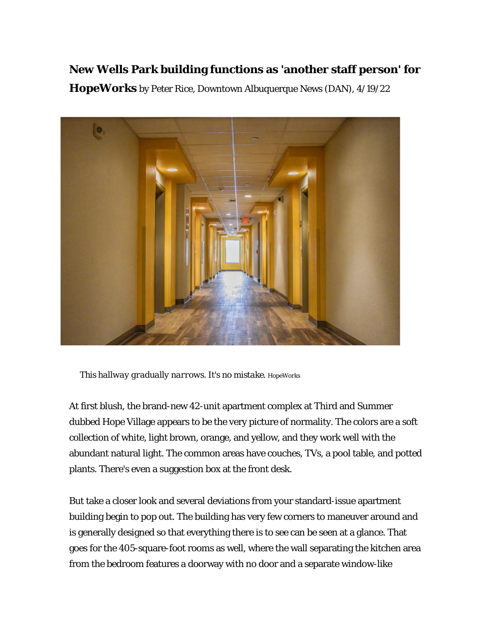## **New Wells Park building functions as 'another staff person' for**

**HopeWorks** by Peter Rice, Downtown Albuquerque News (DAN), 4/19/22



*This hallway gradually narrows. It's no mistake. HopeWorks*

At first blush, the brand-new 42-unit apartment complex at Third and Summer dubbed Hope Village appears to be the very picture of normality. The colors are a soft collection of white, light brown, orange, and yellow, and they work well with the abundant natural light. The common areas have couches, TVs, a pool table, and potted plants. There's even a suggestion box at the front desk.

But take a closer look and several deviations from your standard-issue apartment building begin to pop out. The building has very few corners to maneuver around and is generally designed so that everything there is to see can be seen at a glance. That goes for the 405-square-foot rooms as well, where the wall separating the kitchen area from the bedroom features a doorway with no door and a separate window-like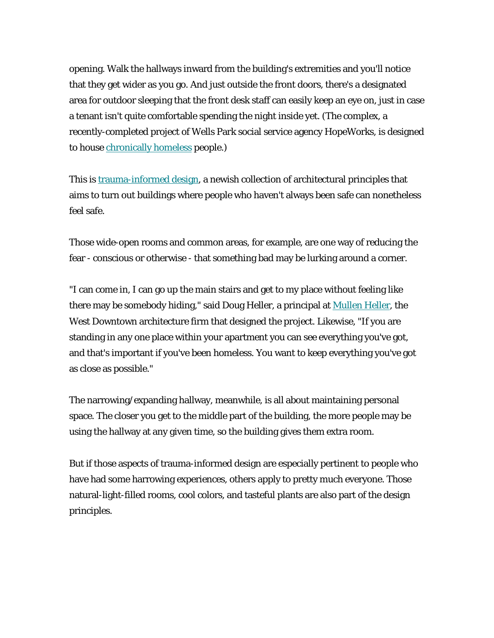opening. Walk the hallways inward from the building's extremities and you'll notice that they get wider as you go. And just outside the front doors, there's a designated area for outdoor sleeping that the front desk staff can easily keep an eye on, just in case a tenant isn't quite comfortable spending the night inside yet. (The complex, a recently-completed project of Wells Park social service agency HopeWorks, is designed to house [chronically homeless](https://downtownalbuquerquenews.us3.list-manage.com/track/click?u=306fc3b21030d6f0128cc4af9&id=d4bd71a433&e=8ba6dca025) people.)

This is [trauma-informed design,](https://downtownalbuquerquenews.us3.list-manage.com/track/click?u=306fc3b21030d6f0128cc4af9&id=36b2e41c62&e=8ba6dca025) a newish collection of architectural principles that aims to turn out buildings where people who haven't always been safe can nonetheless feel safe.

Those wide-open rooms and common areas, for example, are one way of reducing the fear - conscious or otherwise - that something bad may be lurking around a corner.

"I can come in, I can go up the main stairs and get to my place without feeling like there may be somebody hiding," said Doug Heller, a principal at [Mullen Heller,](https://downtownalbuquerquenews.us3.list-manage.com/track/click?u=306fc3b21030d6f0128cc4af9&id=16cd32ab93&e=8ba6dca025) the West Downtown architecture firm that designed the project. Likewise, "If you are standing in any one place within your apartment you can see everything you've got, and that's important if you've been homeless. You want to keep everything you've got as close as possible."

The narrowing/expanding hallway, meanwhile, is all about maintaining personal space. The closer you get to the middle part of the building, the more people may be using the hallway at any given time, so the building gives them extra room.

But if those aspects of trauma-informed design are especially pertinent to people who have had some harrowing experiences, others apply to pretty much everyone. Those natural-light-filled rooms, cool colors, and tasteful plants are also part of the design principles.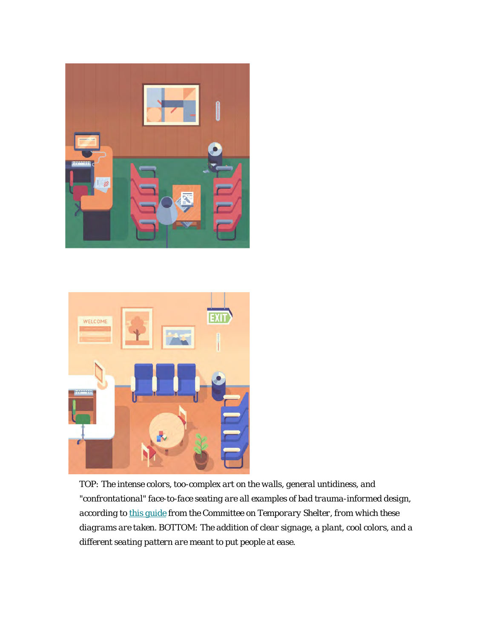



*TOP: The intense colors, too-complex art on the walls, general untidiness, and "confrontational" face-to-face seating are all examples of bad trauma-informed design, according to [this guide](https://downtownalbuquerquenews.us3.list-manage.com/track/click?u=306fc3b21030d6f0128cc4af9&id=a045408b6a&e=8ba6dca025) from the Committee on Temporary Shelter, from which these diagrams are taken. BOTTOM: The addition of clear signage, a plant, cool colors, and a different seating pattern are meant to put people at ease.*